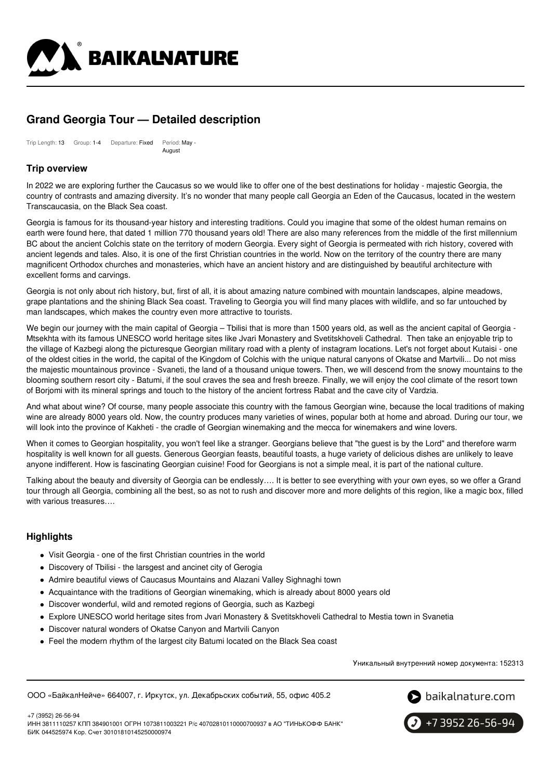

# **Grand Georgia Tour — Detailed description**

Trip Length: 13 Group: 1-4 Departure: Fixed Period: May - August

# **Trip overview**

In 2022 we are exploring further the Caucasus so we would like to offer one of the best destinations for holiday - majestic Georgia, the country of contrasts and amazing diversity. It's no wonder that many people call Georgia an Eden of the Caucasus, located in the western Transcaucasia, on the Black Sea coast.

Georgia is famous for its thousand-year history and interesting traditions. Could you imagine that some of the oldest human remains on earth were found here, that dated 1 million 770 thousand years old! There are also many references from the middle of the first millennium BC about the ancient Colchis state on the territory of modern Georgia. Every sight of Georgia is permeated with rich history, covered with ancient legends and tales. Also, it is one of the first Christian countries in the world. Now on the territory of the country there are many magnificent Orthodox churches and monasteries, which have an ancient history and are distinguished by beautiful architecture with excellent forms and carvings.

Georgia is not only about rich history, but, first of all, it is about amazing nature combined with mountain landscapes, alpine meadows, grape plantations and the shining Black Sea coast. Traveling to Georgia you will find many places with wildlife, and so far untouched by man landscapes, which makes the country even more attractive to tourists.

We begin our journey with the main capital of Georgia – Tbilisi that is more than 1500 years old, as well as the ancient capital of Georgia -Mtsekhta with its famous UNESCO world heritage sites like Jvari Monastery and Svetitskhoveli Cathedral. Then take an enjoyable trip to the village of Kazbegi along the picturesque Georgian military road with a plenty of instagram locations. Let's not forget about Kutaisi - one of the oldest cities in the world, the capital of the Kingdom of Colchis with the unique natural canyons of Okatse and Martvili... Do not miss the majestic mountainous province - Svaneti, the land of a thousand unique towers. Then, we will descend from the snowy mountains to the blooming southern resort city - Batumi, if the soul craves the sea and fresh breeze. Finally, we will enjoy the cool climate of the resort town of Borjomi with its mineral springs and touch to the history of the ancient fortress Rabat and the cave city of Vardzia.

And what about wine? Of course, many people associate this country with the famous Georgian wine, because the local traditions of making wine are already 8000 years old. Now, the country produces many varieties of wines, popular both at home and abroad. During our tour, we will look into the province of Kakheti - the cradle of Georgian winemaking and the mecca for winemakers and wine lovers.

When it comes to Georgian hospitality, you won't feel like a stranger. Georgians believe that "the guest is by the Lord" and therefore warm hospitality is well known for all guests. Generous Georgian feasts, beautiful toasts, a huge variety of delicious dishes are unlikely to leave anyone indifferent. How is fascinating Georgian cuisine! Food for Georgians is not a simple meal, it is part of the national culture.

Talking about the beauty and diversity of Georgia can be endlessly…. It is better to see everything with your own eyes, so we offer a Grand tour through all Georgia, combining all the best, so as not to rush and discover more and more delights of this region, like a magic box, filled with various treasures….

## **Highlights**

- Visit Georgia one of the first Christian countries in the world
- Discovery of Tbilisi the larsgest and ancinet city of Gerogia
- Admire beautiful views of Caucasus Mountains and Alazani Valley Sighnaghi town
- Acquaintance with the traditions of Georgian winemaking, which is already about 8000 years old
- Discover wonderful, wild and remoted regions of Georgia, such as Kazbegi
- Explore UNESCO world heritage sites from Jvari Monastery & Svetitskhoveli Cathedral to Mestia town in Svanetia
- Discover natural wonders of Okatse Canyon and Martvili Canyon
- Feel the modern rhythm of the largest city Batumi located on the Black Sea coast

Уникальный внутренний номер документа: 152313

ООО «БайкалНейче» 664007, г. Иркутск, ул. Декабрьских событий, 55, офис 405.2



+7 (3952) 26-56-94

ИНН 3811110257 КПП 384901001 ОГРН 1073811003221 Р/с 40702810110000700937 в АО "ТИНЬКОФФ БАНК" БИК 044525974 Кор. Счет 30101810145250000974

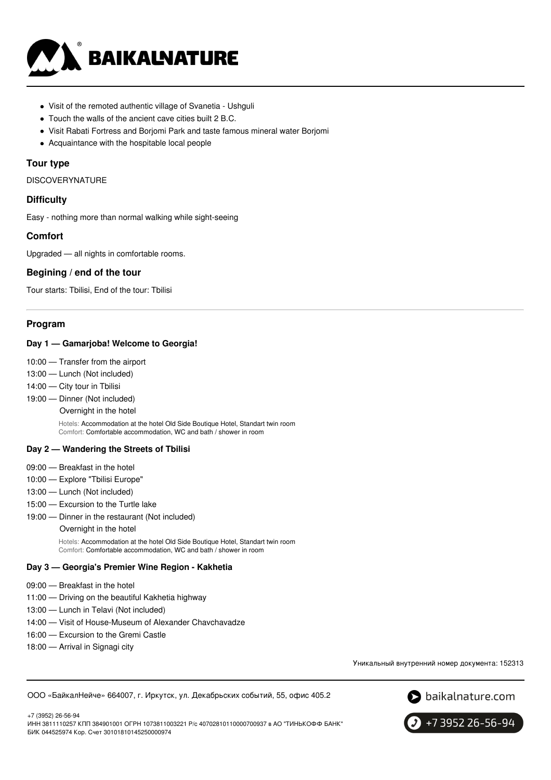

- Visit of the remoted authentic village of Svanetia Ushguli
- Touch the walls of the ancient cave cities built 2 B.C.
- Visit Rabati Fortress and Borjomi Park and taste famous mineral water Borjomi
- Acquaintance with the hospitable local people

### **Tour type**

DISCOVERYNATURE

### **Difficulty**

Easy - nothing more than normal walking while sight-seeing

### **Comfort**

Upgraded — all nights in comfortable rooms.

# **Begining / end of the tour**

Tour starts: Tbilisi, End of the tour: Tbilisi

### **Program**

### **Day 1 — Gamarjoba! Welcome to Georgia!**

- 10:00 Transfer from the airport
- 13:00 Lunch (Not included)
- 14:00 City tour in Tbilisi
- 19:00 Dinner (Not included)

Overnight in the hotel

Hotels: Accommodation at the hotel Old Side Boutique Hotel, Standart twin room Comfort: Comfortable accommodation, WC and bath / shower in room

#### **Day 2 — Wandering the Streets of Tbilisi**

- 09:00 Breakfast in the hotel
- 10:00 Explore "Tbilisi Europe"
- 13:00 Lunch (Not included)
- 15:00 Excursion to the Turtle lake
- 19:00 Dinner in the restaurant (Not included)

#### Overnight in the hotel

Hotels: Accommodation at the hotel Old Side Boutique Hotel, Standart twin room Comfort: Comfortable accommodation, WC and bath / shower in room

#### **Day 3 — Georgia's Premier Wine Region - Kakhetia**

- 09:00 Breakfast in the hotel
- 11:00 Driving on the beautiful Kakhetia highway
- 13:00 Lunch in Telavi (Not included)
- 14:00 Visit of House-Museum of Alexander Chavchavadze
- 16:00 Excursion to the Gremi Castle
- 18:00 Arrival in Signagi city

+7 (3952) 26-56-94

Уникальный внутренний номер документа: 152313

ООО «БайкалНейче» 664007, г. Иркутск, ул. Декабрьских событий, 55, офис 405.2





ИНН 3811110257 КПП 384901001 ОГРН 1073811003221 Р/с 40702810110000700937 в АО "ТИНЬКОФФ БАНК" БИК 044525974 Кор. Счет 30101810145250000974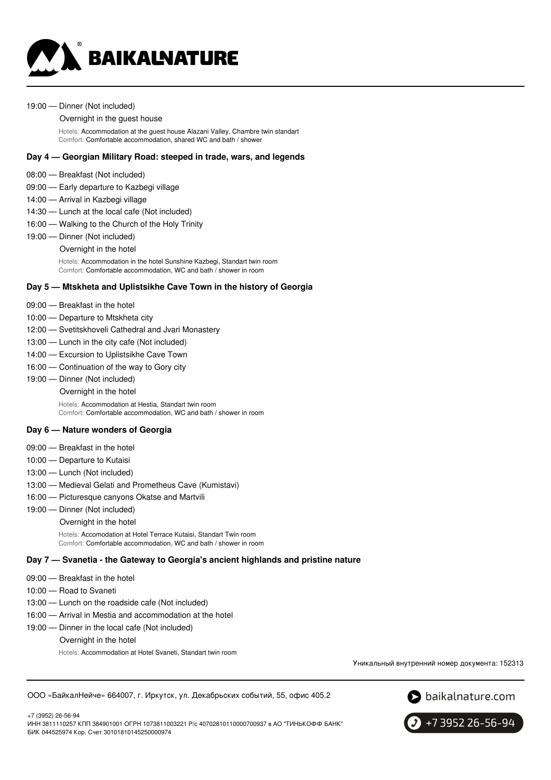

#### 19:00 — Dinner (Not included)

#### Overnight in the guest house

Hotels: Accommodation at the guest house Alazani Valley, Chambre twin standart Comfort: Comfortable accommodation, shared WC and bath / shower

### **Day 4 — Georgian Military Road: steeped in trade, wars, and legends**

- 08:00 Breakfast (Not included)
- 09:00 Early departure to Kazbegi village
- 14:00 Arrival in Kazbegi village
- 14:30 Lunch at the local cafe (Not included)
- 16:00 Walking to the Church of the Holy Trinity
- 19:00 Dinner (Not included) Overnight in the hotel

Hotels: Accommodation in the hotel Sunshine Kazbegi, Standart twin room Comfort: Comfortable accommodation, WC and bath / shower in room

### **Day 5 — Mtskheta and Uplistsikhe Cave Town in the history of Georgia**

- 09:00 Breakfast in the hotel
- 10:00 Departure to Mtskheta city
- 12:00 Svetitskhoveli Cathedral and Jvari Monastery
- 13:00 Lunch in the city cafe (Not included)
- 14:00 Excursion to Uplistsikhe Cave Town
- 16:00 Continuation of the way to Gory city
- 19:00 Dinner (Not included)
	- Overnight in the hotel

Hotels: Accommodation at Hestia, Standart twin room Comfort: Comfortable accommodation, WC and bath / shower in room

#### **Day 6 — Nature wonders of Georgia**

- 09:00 Breakfast in the hotel
- 10:00 Departure to Kutaisi
- 13:00 Lunch (Not included)
- 13:00 Medieval Gelati and Prometheus Cave (Kumistavi)
- 16:00 Picturesque canyons Okatse and Martvili
- 19:00 Dinner (Not included)
	- Overnight in the hotel

Hotels: Accomodation at Hotel Terrace Kutaisi, Standart Twin room Comfort: Comfortable accommodation, WC and bath / shower in room

#### **Day 7 — Svanetia - the Gateway to Georgia's ancient highlands and pristine nature**

- 09:00 Breakfast in the hotel
- 10:00 Road to Svaneti

+7 (3952) 26-56-94

- 13:00 Lunch on the roadside cafe (Not included)
- 16:00 Arrival in Mestia and accommodation at the hotel
- 19:00 Dinner in the local cafe (Not included)

Overnight in the hotel

БИК 044525974 Кор. Счет 30101810145250000974

Hotels: Accommodation at Hotel Svaneti, Standart twin room

Уникальный внутренний номер документа: 152313





+7 3952 26-56-94 ИНН 3811110257 КПП 384901001 ОГРН 1073811003221 Р/с 40702810110000700937 в АО "ТИНЬКОФФ БАНК"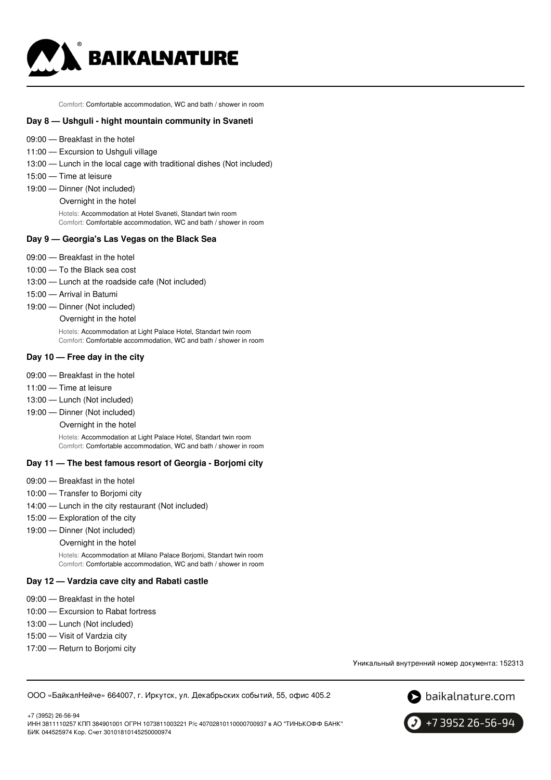

Comfort: Comfortable accommodation, WC and bath / shower in room

### **Day 8 — Ushguli - hight mountain community in Svaneti**

- 09:00 Breakfast in the hotel
- 11:00 Excursion to Ushguli village
- 13:00 Lunch in the local cage with traditional dishes (Not included)
- 15:00 Time at leisure
- 19:00 Dinner (Not included)
	- Overnight in the hotel

Hotels: Accommodation at Hotel Svaneti, Standart twin room Comfort: Comfortable accommodation, WC and bath / shower in room

### **Day 9 — Georgia's Las Vegas on the Black Sea**

- 09:00 Breakfast in the hotel
- 10:00 To the Black sea cost
- 13:00 Lunch at the roadside cafe (Not included)
- 15:00 Arrival in Batumi
- 19:00 Dinner (Not included) Overnight in the hotel

Hotels: Accommodation at Light Palace Hotel, Standart twin room Comfort: Comfortable accommodation, WC and bath / shower in room

#### **Day 10 — Free day in the city**

- 09:00 Breakfast in the hotel
- 11:00 Time at leisure
- 13:00 Lunch (Not included)
- 19:00 Dinner (Not included)
	- Overnight in the hotel

Hotels: Accommodation at Light Palace Hotel, Standart twin room Comfort: Comfortable accommodation, WC and bath / shower in room

#### **Day 11 — The best famous resort of Georgia - Borjomi city**

- 09:00 Breakfast in the hotel
- 10:00 Transfer to Borjomi city
- 14:00 Lunch in the city restaurant (Not included)
- 15:00 Exploration of the city
- 19:00 Dinner (Not included)
	- Overnight in the hotel

Hotels: Accommodation at Milano Palace Borjomi, Standart twin room Comfort: Comfortable accommodation, WC and bath / shower in room

#### **Day 12 — Vardzia cave city and Rabati castle**

- 09:00 Breakfast in the hotel
- 10:00 Excursion to Rabat fortress
- 13:00 Lunch (Not included)
- 15:00 Visit of Vardzia city
- 17:00 Return to Borjomi city

Уникальный внутренний номер документа: 152313

ООО «БайкалНейче» 664007, г. Иркутск, ул. Декабрьских событий, 55, офис 405.2



+7 (3952) 26-56-94 ИНН 3811110257 КПП 384901001 ОГРН 1073811003221 Р/с 40702810110000700937 в АО "ТИНЬКОФФ БАНК" БИК 044525974 Кор. Счет 30101810145250000974

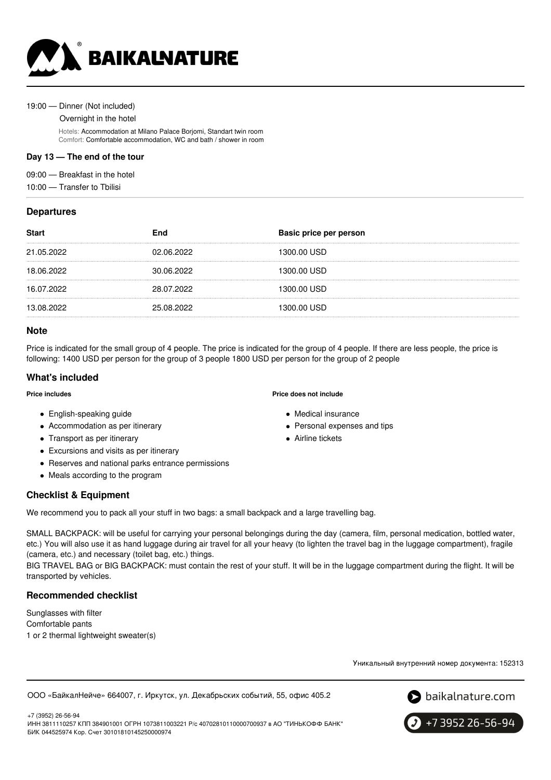

#### 19:00 — Dinner (Not included)

Overnight in the hotel

Hotels: Accommodation at Milano Palace Borjomi, Standart twin room Comfort: Comfortable accommodation, WC and bath / shower in room

# **Day 13 — The end of the tour**

09:00 — Breakfast in the hotel

10:00 — Transfer to Tbilisi

# **Departures**

| <b>Start</b> | End        | Basic price per person |
|--------------|------------|------------------------|
| 21.05.2022   | 02.06.2022 | 1300.00 USD            |
| 18.06.2022   | 30.06.2022 | 1300.00 USD            |
| 16.07.2022   | 28.07.2022 | 1300.00 USD            |
| 13.08.2022   | 25.08.2022 | 1300.00 USD            |
|              |            |                        |

## **Note**

Price is indicated for the small group of 4 people. The price is indicated for the group of 4 people. If there are less people, the price is following: 1400 USD per person for the group of 3 people 1800 USD per person for the group of 2 people

# **What's included**

#### **Price includes**

- English-speaking guide
- Accommodation as per itinerary
- Transport as per itinerary
- Excursions and visits as per itinerary
- Reserves and national parks entrance permissions
- Meals according to the program

# **Checklist & Equipment**

We recommend you to pack all your stuff in two bags: a small backpack and a large travelling bag.

SMALL BACKPACK: will be useful for carrying your personal belongings during the day (camera, film, personal medication, bottled water, etc.) You will also use it as hand luggage during air travel for all your heavy (to lighten the travel bag in the luggage compartment), fragile (camera, etc.) and necessary (toilet bag, etc.) things.

BIG TRAVEL BAG or BIG BACKPACK: must contain the rest of your stuff. It will be in the luggage compartment during the flight. It will be transported by vehicles.

## **Recommended checklist**

Sunglasses with filter Comfortable pants 1 or 2 thermal lightweight sweater(s)

Уникальный внутренний номер документа: 152313

ООО «БайкалНейче» 664007, г. Иркутск, ул. Декабрьских событий, 55, офис 405.2



+7 3952 26-56-94

+7 (3952) 26-56-94 ИНН 3811110257 КПП 384901001 ОГРН 1073811003221 Р/с 40702810110000700937 в АО "ТИНЬКОФФ БАНК" БИК 044525974 Кор. Счет 30101810145250000974

#### **Price does not include**

- Medical insurance
- Personal expenses and tips
- Airline tickets